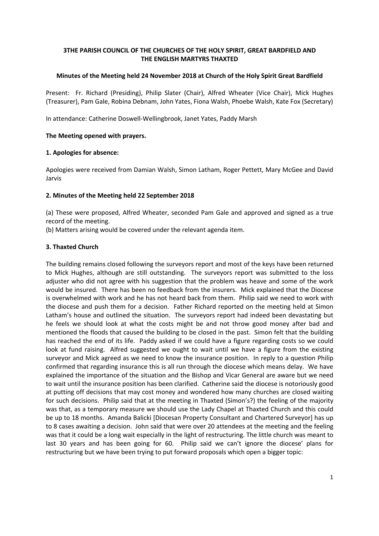# **3THE PARISH COUNCIL OF THE CHURCHES OF THE HOLY SPIRIT, GREAT BARDFIELD AND THE ENGLISH MARTYRS THAXTED**

## **Minutes of the Meeting held 24 November 2018 at Church of the Holy Spirit Great Bardfield**

Present: Fr. Richard (Presiding), Philip Slater (Chair), Alfred Wheater (Vice Chair), Mick Hughes (Treasurer), Pam Gale, Robina Debnam, John Yates, Fiona Walsh, Phoebe Walsh, Kate Fox (Secretary)

In attendance: Catherine Doswell-Wellingbrook, Janet Yates, Paddy Marsh

## **The Meeting opened with prayers.**

## **1. Apologies for absence:**

Apologies were received from Damian Walsh, Simon Latham, Roger Pettett, Mary McGee and David Jarvis

## **2. Minutes of the Meeting held 22 September 2018**

(a) These were proposed, Alfred Wheater, seconded Pam Gale and approved and signed as a true record of the meeting.

(b) Matters arising would be covered under the relevant agenda item.

## **3. Thaxted Church**

The building remains closed following the surveyors report and most of the keys have been returned to Mick Hughes, although are still outstanding. The surveyors report was submitted to the loss adjuster who did not agree with his suggestion that the problem was heave and some of the work would be insured. There has been no feedback from the insurers. Mick explained that the Diocese is overwhelmed with work and he has not heard back from them. Philip said we need to work with the diocese and push them for a decision. Father Richard reported on the meeting held at Simon Latham's house and outlined the situation. The surveyors report had indeed been devastating but he feels we should look at what the costs might be and not throw good money after bad and mentioned the floods that caused the building to be closed in the past. Simon felt that the building has reached the end of its life. Paddy asked if we could have a figure regarding costs so we could look at fund raising. Alfred suggested we ought to wait until we have a figure from the existing surveyor and Mick agreed as we need to know the insurance position. In reply to a question Philip confirmed that regarding insurance this is all run through the diocese which means delay. We have explained the importance of the situation and the Bishop and Vicar General are aware but we need to wait until the insurance position has been clarified. Catherine said the diocese is notoriously good at putting off decisions that may cost money and wondered how many churches are closed waiting for such decisions. Philip said that at the meeting in Thaxted (Simon's?) the feeling of the majority was that, as a temporary measure we should use the Lady Chapel at Thaxted Church and this could be up to 18 months. Amanda Balicki [Diocesan Property Consultant and Chartered Surveyor] has up to 8 cases awaiting a decision. John said that were over 20 attendees at the meeting and the feeling was that it could be a long wait especially in the light of restructuring. The little church was meant to last 30 years and has been going for 60. Philip said we can't ignore the diocese' plans for restructuring but we have been trying to put forward proposals which open a bigger topic: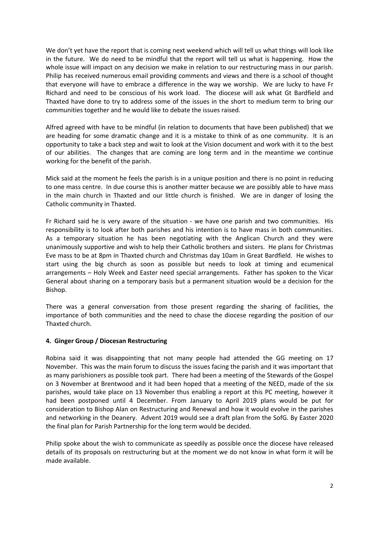We don't yet have the report that is coming next weekend which will tell us what things will look like in the future. We do need to be mindful that the report will tell us what is happening. How the whole issue will impact on any decision we make in relation to our restructuring mass in our parish. Philip has received numerous email providing comments and views and there is a school of thought that everyone will have to embrace a difference in the way we worship. We are lucky to have Fr Richard and need to be conscious of his work load. The diocese will ask what Gt Bardfield and Thaxted have done to try to address some of the issues in the short to medium term to bring our communities together and he would like to debate the issues raised.

Alfred agreed with have to be mindful (in relation to documents that have been published) that we are heading for some dramatic change and it is a mistake to think of as one community. It is an opportunity to take a back step and wait to look at the Vision document and work with it to the best of our abilities. The changes that are coming are long term and in the meantime we continue working for the benefit of the parish.

Mick said at the moment he feels the parish is in a unique position and there is no point in reducing to one mass centre. In due course this is another matter because we are possibly able to have mass in the main church in Thaxted and our little church is finished. We are in danger of losing the Catholic community in Thaxted.

Fr Richard said he is very aware of the situation - we have one parish and two communities. His responsibility is to look after both parishes and his intention is to have mass in both communities. As a temporary situation he has been negotiating with the Anglican Church and they were unanimously supportive and wish to help their Catholic brothers and sisters. He plans for Christmas Eve mass to be at 8pm in Thaxted church and Christmas day 10am in Great Bardfield. He wishes to start using the big church as soon as possible but needs to look at timing and ecumenical arrangements – Holy Week and Easter need special arrangements. Father has spoken to the Vicar General about sharing on a temporary basis but a permanent situation would be a decision for the Bishop.

There was a general conversation from those present regarding the sharing of facilities, the importance of both communities and the need to chase the diocese regarding the position of our Thaxted church.

## **4. Ginger Group / Diocesan Restructuring**

Robina said it was disappointing that not many people had attended the GG meeting on 17 November. This was the main forum to discuss the issues facing the parish and it was important that as many parishioners as possible took part. There had been a meeting of the Stewards of the Gospel on 3 November at Brentwood and it had been hoped that a meeting of the NEED, made of the six parishes, would take place on 13 November thus enabling a report at this PC meeting, however it had been postponed until 4 December. From January to April 2019 plans would be put for consideration to Bishop Alan on Restructuring and Renewal and how it would evolve in the parishes and networking in the Deanery. Advent 2019 would see a draft plan from the SofG. By Easter 2020 the final plan for Parish Partnership for the long term would be decided.

Philip spoke about the wish to communicate as speedily as possible once the diocese have released details of its proposals on restructuring but at the moment we do not know in what form it will be made available.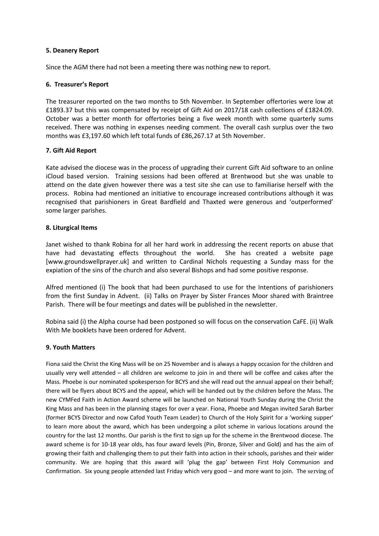### **5. Deanery Report**

Since the AGM there had not been a meeting there was nothing new to report.

### **6. Treasurer's Report**

The treasurer reported on the two months to 5th November. In September offertories were low at £1893.37 but this was compensated by receipt of Gift Aid on 2017/18 cash collections of £1824.09. October was a better month for offertories being a five week month with some quarterly sums received. There was nothing in expenses needing comment. The overall cash surplus over the two months was £3,197.60 which left total funds of £86,267.17 at 5th November.

### **7. Gift Aid Report**

Kate advised the diocese was in the process of upgrading their current Gift Aid software to an online iCloud based version. Training sessions had been offered at Brentwood but she was unable to attend on the date given however there was a test site she can use to familiarise herself with the process. Robina had mentioned an initiative to encourage increased contributions although it was recognised that parishioners in Great Bardfield and Thaxted were generous and 'outperformed' some larger parishes.

### **8. Liturgical Items**

Janet wished to thank Robina for all her hard work in addressing the recent reports on abuse that have had devastating effects throughout the world. She has created a website page [www.groundswellprayer.uk] and written to Cardinal Nichols requesting a Sunday mass for the expiation of the sins of the church and also several Bishops and had some positive response.

Alfred mentioned (i) The book that had been purchased to use for the Intentions of parishioners from the first Sunday in Advent. (ii) Talks on Prayer by Sister Frances Moor shared with Braintree Parish. There will be four meetings and dates will be published in the newsletter.

Robina said (i) the Alpha course had been postponed so will focus on the conservation CaFE. (ii) Walk With Me booklets have been ordered for Advent.

## **9. Youth Matters**

Fiona said the Christ the King Mass will be on 25 November and is always a happy occasion for the children and usually very well attended – all children are welcome to join in and there will be coffee and cakes after the Mass. Phoebe is our nominated spokesperson for BCYS and she will read out the annual appeal on their behalf; there will be flyers about BCYS and the appeal, which will be handed out by the children before the Mass. The new CYMFed Faith in Action Award scheme will be launched on National Youth Sunday during the Christ the King Mass and has been in the planning stages for over a year. Fiona, Phoebe and Megan invited Sarah Barber (former BCYS Director and now Cafod Youth Team Leader) to Church of the Holy Spirit for a 'working supper' to learn more about the award, which has been undergoing a pilot scheme in various locations around the country for the last 12 months. Our parish is the first to sign up for the scheme in the Brentwood diocese. The award scheme is for 10-18 year olds, has four award levels (Pin, Bronze, Silver and Gold) and has the aim of growing their faith and challenging them to put their faith into action in their schools, parishes and their wider community. We are hoping that this award will 'plug the gap' between First Holy Communion and Confirmation. Six young people attended last Friday which very good – and more want to join. The serving of